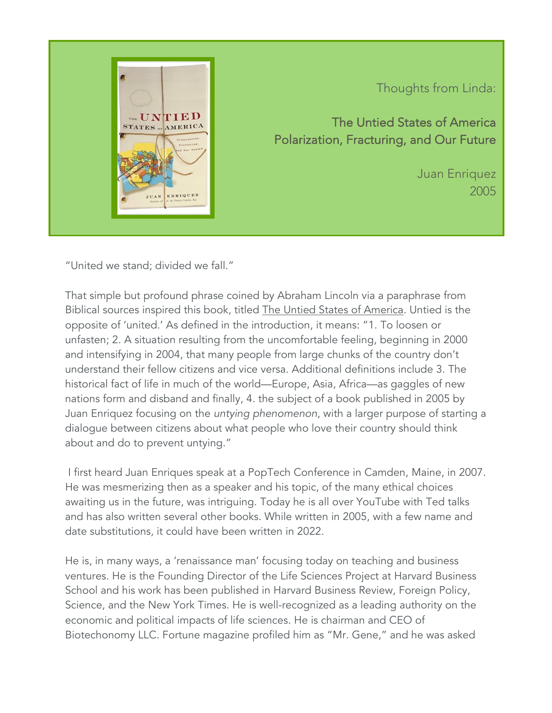

Thoughts from Linda:

The Untied States of America Polarization, Fracturing, and Our Future

> Juan Enriquez 2005

"United we stand; divided we fall."

That simple but profound phrase coined by Abraham Lincoln via a paraphrase from Biblical sources inspired this book, titled The Untied States of America. Untied is the opposite of 'united.' As defined in the introduction, it means: "1. To loosen or unfasten; 2. A situation resulting from the uncomfortable feeling, beginning in 2000 and intensifying in 2004, that many people from large chunks of the country don't understand their fellow citizens and vice versa. Additional definitions include 3. The historical fact of life in much of the world—Europe, Asia, Africa—as gaggles of new nations form and disband and finally, 4. the subject of a book published in 2005 by Juan Enriquez focusing on the *untying phenomenon*, with a larger purpose of starting a dialogue between citizens about what people who love their country should think about and do to prevent untying."

I first heard Juan Enriques speak at a PopTech Conference in Camden, Maine, in 2007. He was mesmerizing then as a speaker and his topic, of the many ethical choices awaiting us in the future, was intriguing. Today he is all over YouTube with Ted talks and has also written several other books. While written in 2005, with a few name and date substitutions, it could have been written in 2022.

He is, in many ways, a 'renaissance man' focusing today on teaching and business ventures. He is the Founding Director of the Life Sciences Project at Harvard Business School and his work has been published in Harvard Business Review, Foreign Policy, Science, and the New York Times. He is well-recognized as a leading authority on the economic and political impacts of life sciences. He is chairman and CEO of Biotechonomy LLC. Fortune magazine profiled him as "Mr. Gene," and he was asked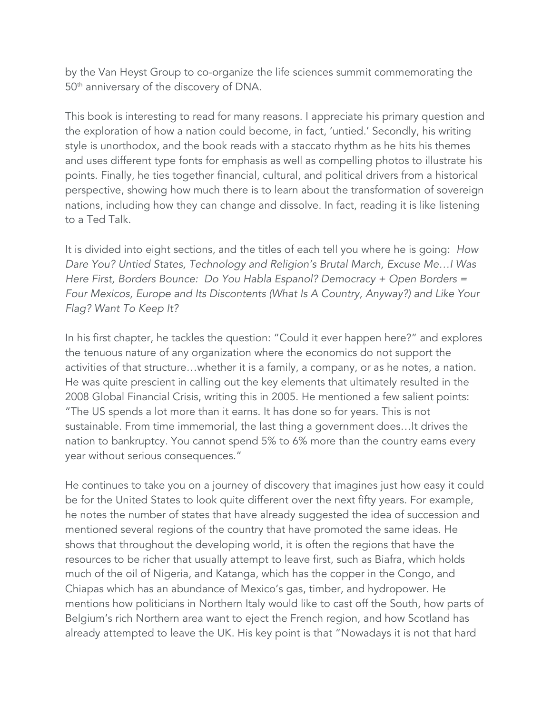by the Van Heyst Group to co-organize the life sciences summit commemorating the 50<sup>th</sup> anniversary of the discovery of DNA.

This book is interesting to read for many reasons. I appreciate his primary question and the exploration of how a nation could become, in fact, 'untied.' Secondly, his writing style is unorthodox, and the book reads with a staccato rhythm as he hits his themes and uses different type fonts for emphasis as well as compelling photos to illustrate his points. Finally, he ties together financial, cultural, and political drivers from a historical perspective, showing how much there is to learn about the transformation of sovereign nations, including how they can change and dissolve. In fact, reading it is like listening to a Ted Talk.

It is divided into eight sections, and the titles of each tell you where he is going: *How Dare You? Untied States, Technology and Religion's Brutal March, Excuse Me…I Was Here First, Borders Bounce: Do You Habla Espanol? Democracy + Open Borders = Four Mexicos, Europe and Its Discontents (What Is A Country, Anyway?) and Like Your Flag? Want To Keep It?*

In his first chapter, he tackles the question: "Could it ever happen here?" and explores the tenuous nature of any organization where the economics do not support the activities of that structure…whether it is a family, a company, or as he notes, a nation. He was quite prescient in calling out the key elements that ultimately resulted in the 2008 Global Financial Crisis, writing this in 2005. He mentioned a few salient points: "The US spends a lot more than it earns. It has done so for years. This is not sustainable. From time immemorial, the last thing a government does…It drives the nation to bankruptcy. You cannot spend 5% to 6% more than the country earns every year without serious consequences."

He continues to take you on a journey of discovery that imagines just how easy it could be for the United States to look quite different over the next fifty years. For example, he notes the number of states that have already suggested the idea of succession and mentioned several regions of the country that have promoted the same ideas. He shows that throughout the developing world, it is often the regions that have the resources to be richer that usually attempt to leave first, such as Biafra, which holds much of the oil of Nigeria, and Katanga, which has the copper in the Congo, and Chiapas which has an abundance of Mexico's gas, timber, and hydropower. He mentions how politicians in Northern Italy would like to cast off the South, how parts of Belgium's rich Northern area want to eject the French region, and how Scotland has already attempted to leave the UK. His key point is that "Nowadays it is not that hard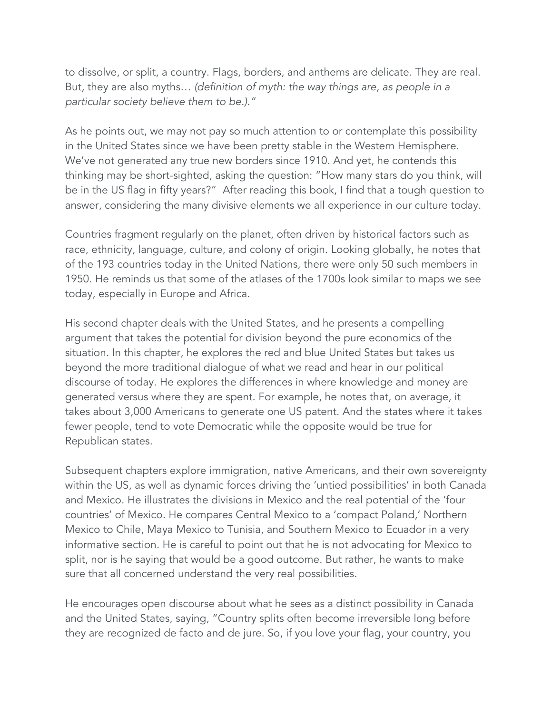to dissolve, or split, a country. Flags, borders, and anthems are delicate. They are real. But, they are also myths… *(definition of myth: the way things are, as people in a particular society believe them to be.)."*

As he points out, we may not pay so much attention to or contemplate this possibility in the United States since we have been pretty stable in the Western Hemisphere. We've not generated any true new borders since 1910. And yet, he contends this thinking may be short-sighted, asking the question: "How many stars do you think, will be in the US flag in fifty years?" After reading this book, I find that a tough question to answer, considering the many divisive elements we all experience in our culture today.

Countries fragment regularly on the planet, often driven by historical factors such as race, ethnicity, language, culture, and colony of origin. Looking globally, he notes that of the 193 countries today in the United Nations, there were only 50 such members in 1950. He reminds us that some of the atlases of the 1700s look similar to maps we see today, especially in Europe and Africa.

His second chapter deals with the United States, and he presents a compelling argument that takes the potential for division beyond the pure economics of the situation. In this chapter, he explores the red and blue United States but takes us beyond the more traditional dialogue of what we read and hear in our political discourse of today. He explores the differences in where knowledge and money are generated versus where they are spent. For example, he notes that, on average, it takes about 3,000 Americans to generate one US patent. And the states where it takes fewer people, tend to vote Democratic while the opposite would be true for Republican states.

Subsequent chapters explore immigration, native Americans, and their own sovereignty within the US, as well as dynamic forces driving the 'untied possibilities' in both Canada and Mexico. He illustrates the divisions in Mexico and the real potential of the 'four countries' of Mexico. He compares Central Mexico to a 'compact Poland,' Northern Mexico to Chile, Maya Mexico to Tunisia, and Southern Mexico to Ecuador in a very informative section. He is careful to point out that he is not advocating for Mexico to split, nor is he saying that would be a good outcome. But rather, he wants to make sure that all concerned understand the very real possibilities.

He encourages open discourse about what he sees as a distinct possibility in Canada and the United States, saying, "Country splits often become irreversible long before they are recognized de facto and de jure. So, if you love your flag, your country, you